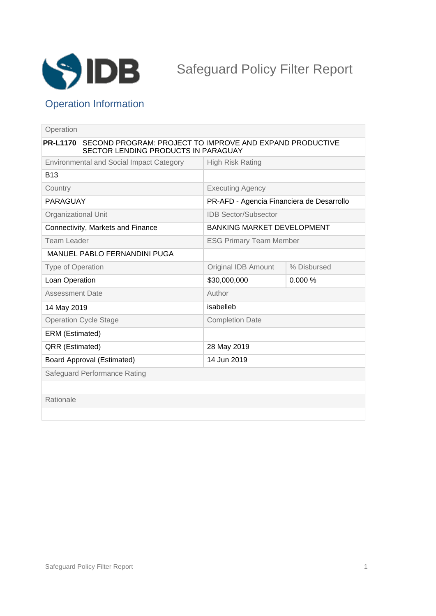

# Operation Information

| Operation                                                                                                          |                                           |             |
|--------------------------------------------------------------------------------------------------------------------|-------------------------------------------|-------------|
| SECOND PROGRAM: PROJECT TO IMPROVE AND EXPAND PRODUCTIVE<br><b>PR-L1170</b><br>SECTOR LENDING PRODUCTS IN PARAGUAY |                                           |             |
| <b>Environmental and Social Impact Category</b>                                                                    | <b>High Risk Rating</b>                   |             |
| <b>B13</b>                                                                                                         |                                           |             |
| Country                                                                                                            | <b>Executing Agency</b>                   |             |
| PARAGUAY                                                                                                           | PR-AFD - Agencia Financiera de Desarrollo |             |
| Organizational Unit                                                                                                | <b>IDB Sector/Subsector</b>               |             |
| Connectivity, Markets and Finance                                                                                  | <b>BANKING MARKET DEVELOPMENT</b>         |             |
| <b>Team Leader</b>                                                                                                 | <b>ESG Primary Team Member</b>            |             |
| <b>MANUEL PABLO FERNANDINI PUGA</b>                                                                                |                                           |             |
| <b>Type of Operation</b>                                                                                           | <b>Original IDB Amount</b>                | % Disbursed |
| Loan Operation                                                                                                     | \$30,000,000                              | 0.000%      |
| <b>Assessment Date</b>                                                                                             | Author                                    |             |
| 14 May 2019                                                                                                        | isabelleb                                 |             |
| <b>Operation Cycle Stage</b>                                                                                       | <b>Completion Date</b>                    |             |
| ERM (Estimated)                                                                                                    |                                           |             |
| QRR (Estimated)                                                                                                    | 28 May 2019                               |             |
| <b>Board Approval (Estimated)</b>                                                                                  | 14 Jun 2019                               |             |
| Safeguard Performance Rating                                                                                       |                                           |             |
|                                                                                                                    |                                           |             |
| Rationale                                                                                                          |                                           |             |
|                                                                                                                    |                                           |             |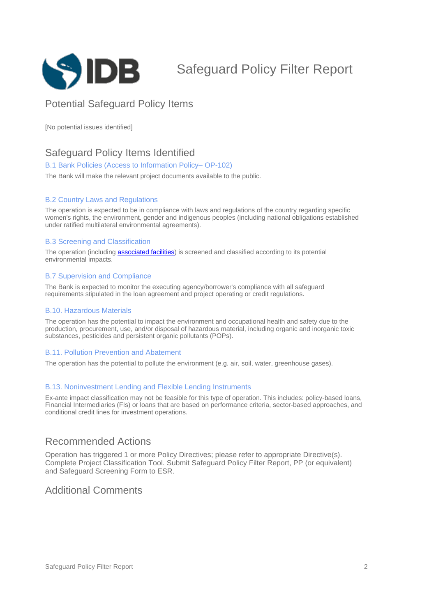

# Safeguard Policy Filter Report

## Potential Safeguard Policy Items

[No potential issues identified]

## Safeguard Policy Items Identified

#### B.1 Bank Policies (Access to Information Policy-OP-102)

The Bank will make the relevant project documents available to the public.

#### B.2 Country Laws and Regulations

The operation is expected to be in compliance with laws and regulations of the country regarding specific women's rights, the environment, gender and indigenous peoples (including national obligations established under ratified multilateral environmental agreements).

#### B.3 Screening and Classification

The operation (including **[associated facilities](javascript:ShowTerm()**) is screened and classified according to its potential environmental impacts.

#### B.7 Supervision and Compliance

The Bank is expected to monitor the executing agency/borrower's compliance with all safeguard requirements stipulated in the loan agreement and project operating or credit regulations.

#### B.10. Hazardous Materials

The operation has the potential to impact the environment and occupational health and safety due to the production, procurement, use, and/or disposal of hazardous material, including organic and inorganic toxic substances, pesticides and persistent organic pollutants (POPs).

#### B.11. Pollution Prevention and Abatement

The operation has the potential to pollute the environment (e.g. air, soil, water, greenhouse gases).

#### B.13. Noninvestment Lending and Flexible Lending Instruments

Ex-ante impact classification may not be feasible for this type of operation. This includes: policy-based loans, Financial Intermediaries (FIs) or loans that are based on performance criteria, sector-based approaches, and conditional credit lines for investment operations.

### Recommended Actions

Operation has triggered 1 or more Policy Directives; please refer to appropriate Directive(s). Complete Project Classification Tool. Submit Safeguard Policy Filter Report, PP (or equivalent) and Safeguard Screening Form to ESR.

### Additional Comments